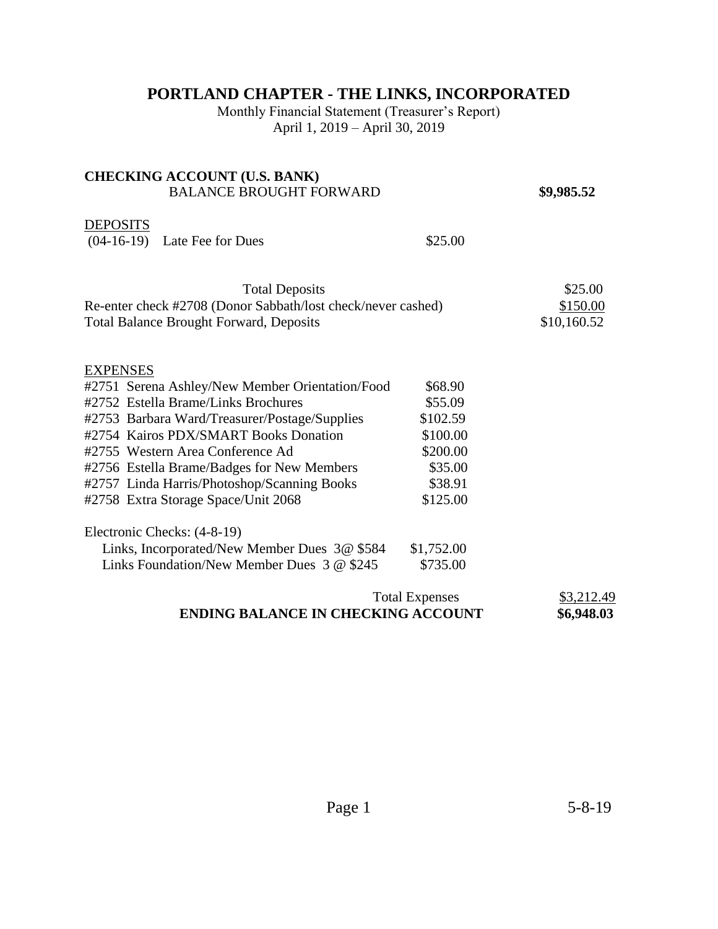# **PORTLAND CHAPTER - THE LINKS, INCORPORATED**

Monthly Financial Statement (Treasurer's Report) April 1, 2019 – April 30, 2019

| <b>CHECKING ACCOUNT (U.S. BANK)</b>                                |                          |             |
|--------------------------------------------------------------------|--------------------------|-------------|
| <b>BALANCE BROUGHT FORWARD</b>                                     |                          | \$9,985.52  |
| <b>DEPOSITS</b><br>$(04-16-19)$ Late Fee for Dues                  | \$25.00                  |             |
| <b>Total Deposits</b>                                              |                          | \$25.00     |
| Re-enter check #2708 (Donor Sabbath/lost check/never cashed)       | \$150.00                 |             |
| <b>Total Balance Brought Forward, Deposits</b>                     |                          | \$10,160.52 |
| <b>EXPENSES</b>                                                    |                          |             |
| #2751 Serena Ashley/New Member Orientation/Food                    | \$68.90                  |             |
| #2752 Estella Brame/Links Brochures                                | \$55.09                  |             |
| #2753 Barbara Ward/Treasurer/Postage/Supplies                      | \$102.59                 |             |
| #2754 Kairos PDX/SMART Books Donation                              | \$100.00                 |             |
| #2755 Western Area Conference Ad                                   | \$200.00                 |             |
| #2756 Estella Brame/Badges for New Members                         | \$35.00                  |             |
| #2757 Linda Harris/Photoshop/Scanning Books                        | \$38.91                  |             |
| #2758 Extra Storage Space/Unit 2068                                | \$125.00                 |             |
| Electronic Checks: (4-8-19)                                        |                          |             |
| Links, Incorporated/New Member Dues 3@ \$584                       | \$1,752.00               |             |
| Links Foundation/New Member Dues 3 @ \$245                         | \$735.00                 |             |
| <b>Total Expenses</b><br><b>ENDING BALANCE IN CHECKING ACCOUNT</b> | \$3,212.49<br>\$6,948.03 |             |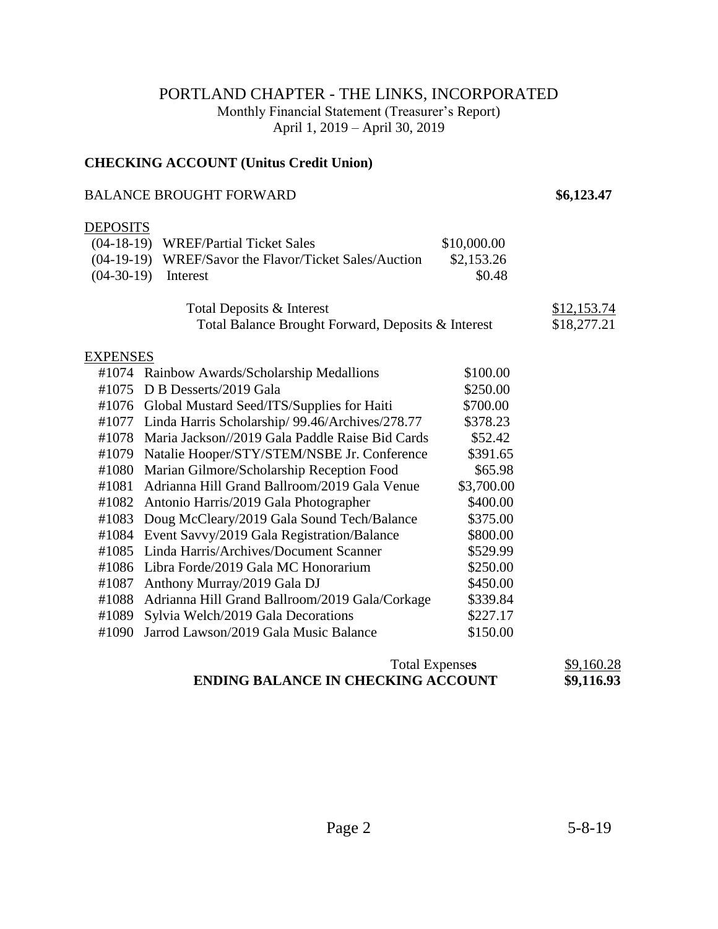## PORTLAND CHAPTER - THE LINKS, INCORPORATED

Monthly Financial Statement (Treasurer's Report)

April 1, 2019 – April 30, 2019

#### **CHECKING ACCOUNT (Unitus Credit Union)**

### BALANCE BROUGHT FORWARD **\$6,123.47**

## DEPOSITS

|              | (04-18-19) WREF/Partial Ticket Sales                  | \$10,000.00 |             |
|--------------|-------------------------------------------------------|-------------|-------------|
|              | (04-19-19) WREF/Savor the Flavor/Ticket Sales/Auction | \$2,153.26  |             |
| $(04-30-19)$ | Interest                                              | \$0.48      |             |
|              |                                                       |             |             |
|              | Total Deposits & Interest                             |             | \$12,153.74 |
|              | Total Balance Brought Forward, Deposits & Interest    |             | \$18,277.21 |
| EXPENSES     |                                                       |             |             |
| #1074        | Rainbow Awards/Scholarship Medallions                 | \$100.00    |             |
| #1075        | D B Desserts/2019 Gala                                | \$250.00    |             |
| #1076        | Global Mustard Seed/ITS/Supplies for Haiti            | \$700.00    |             |
| #1077        | Linda Harris Scholarship/ 99.46/Archives/278.77       | \$378.23    |             |
| #1078        | Maria Jackson//2019 Gala Paddle Raise Bid Cards       | \$52.42     |             |
| #1079        | Natalie Hooper/STY/STEM/NSBE Jr. Conference           | \$391.65    |             |
| #1080        | Marian Gilmore/Scholarship Reception Food             | \$65.98     |             |
| #1081        | Adrianna Hill Grand Ballroom/2019 Gala Venue          | \$3,700.00  |             |
| #1082        | Antonio Harris/2019 Gala Photographer                 | \$400.00    |             |
| #1083        | Doug McCleary/2019 Gala Sound Tech/Balance            | \$375.00    |             |
| #1084        | Event Savvy/2019 Gala Registration/Balance            | \$800.00    |             |
| #1085        | Linda Harris/Archives/Document Scanner                | \$529.99    |             |
| #1086        | Libra Forde/2019 Gala MC Honorarium                   | \$250.00    |             |
| #1087        | Anthony Murray/2019 Gala DJ                           | \$450.00    |             |
| #1088        | Adrianna Hill Grand Ballroom/2019 Gala/Corkage        | \$339.84    |             |
| #1089        | Sylvia Welch/2019 Gala Decorations                    | \$227.17    |             |
| #1090        | Jarrod Lawson/2019 Gala Music Balance                 | \$150.00    |             |
|              |                                                       |             |             |

| <b>Total Expenses</b>                     | \$9,160.28 |
|-------------------------------------------|------------|
| <b>ENDING BALANCE IN CHECKING ACCOUNT</b> | \$9,116.93 |